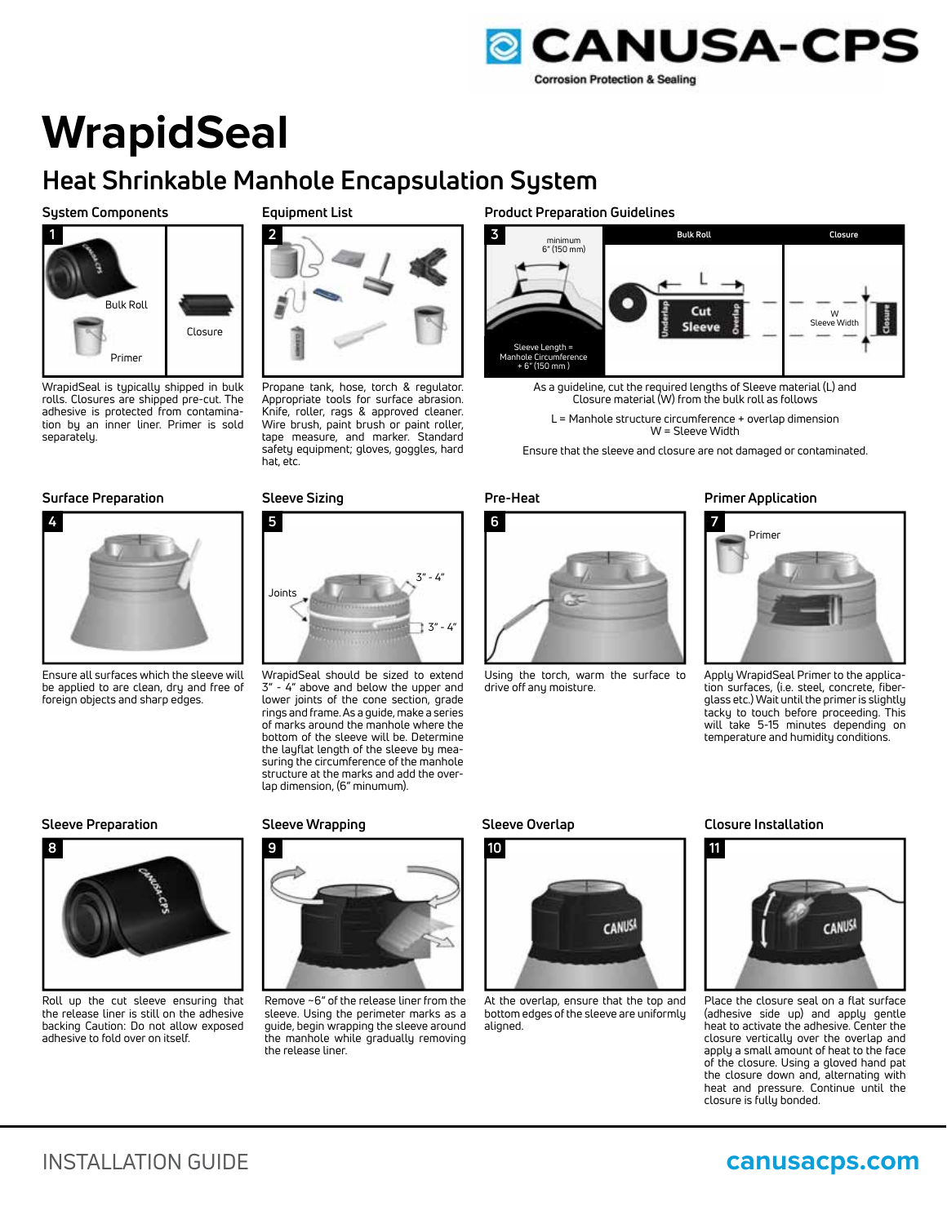

# **WrapidSeal**

# **Heat Shrinkable Manhole Encapsulation System**

# **System Components**



WrapidSeal is typically shipped in bulk rolls. Closures are shipped pre-cut. The adhesive is protected from contamination by an inner liner. Primer is sold separately.

# **Surface Preparation Sleeve Sizing Pre-Heat Primer Application**



Ensure all surfaces which the sleeve will be applied to are clean, dry and free of foreign objects and sharp edges.

# **Equipment List**



Propane tank, hose, torch & regulator. Appropriate tools for surface abrasion. Knife, roller, rags & approved cleaner. Wire brush, paint brush or paint roller, tape measure, and marker. Standard safety equipment; gloves, goggles, hard hat, etc.



WrapidSeal should be sized to extend 3" - 4" above and below the upper and lower joints of the cone section, grade rings and frame. As a guide, make a series of marks around the manhole where the bottom of the sleeve will be. Determine the layflat length of the sleeve by measuring the circumference of the manhole structure at the marks and add the overlap dimension, (6" minumum).

### **Sleeve Preparation Sleeve Wrapping Sleeve Overlap Closure Installation**



Roll up the cut sleeve ensuring that the release liner is still on the adhesive backing Caution: Do not allow exposed adhesive to fold over on itself.



Remove ~6" of the release liner from the sleeve. Using the perimeter marks as a guide, begin wrapping the sleeve around the manhole while gradually removing the release liner.

# **Product Preparation Guidelines**



- As a guideline, cut the required lengths of Sleeve material (L) and Closure material (W) from the bulk roll as follows
	- L = Manhole structure circumference + overlap dimension W = Sleeve Width

Ensure that the sleeve and closure are not damaged or contaminated.



Using the torch, warm the surface to drive off any moisture.



Apply WrapidSeal Primer to the application surfaces, (i.e. steel, concrete, fiberglass etc.) Wait until the primer is slightly tacky to touch before proceeding. This will take 5-15 minutes depending on temperature and humidity conditions.



At the overlap, ensure that the top and bottom edges of the sleeve are uniformly aligned.



Place the closure seal on a flat surface (adhesive side up) and apply gentle heat to activate the adhesive. Center the closure vertically over the overlap and apply a small amount of heat to the face of the closure. Using a gloved hand pat the closure down and, alternating with heat and pressure. Continue until the closure is fully bonded.